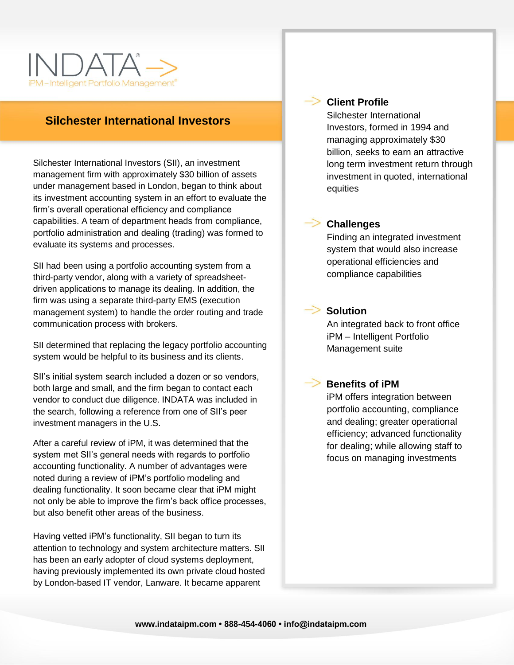

# **Silchester International Investors**

Silchester International Investors (SII), an investment management firm with approximately \$30 billion of assets under management based in London, began to think about its investment accounting system in an effort to evaluate the firm's overall operational efficiency and compliance capabilities. A team of department heads from compliance, portfolio administration and dealing (trading) was formed to evaluate its systems and processes.

SII had been using a portfolio accounting system from a third-party vendor, along with a variety of spreadsheetdriven applications to manage its dealing. In addition, the firm was using a separate third-party EMS (execution management system) to handle the order routing and trade communication process with brokers.

SII determined that replacing the legacy portfolio accounting system would be helpful to its business and its clients.

SII's initial system search included a dozen or so vendors, both large and small, and the firm began to contact each vendor to conduct due diligence. INDATA was included in the search, following a reference from one of SII's peer investment managers in the U.S.

After a careful review of iPM, it was determined that the system met SII's general needs with regards to portfolio accounting functionality. A number of advantages were noted during a review of iPM's portfolio modeling and dealing functionality. It soon became clear that iPM might not only be able to improve the firm's back office processes, but also benefit other areas of the business.

Having vetted iPM's functionality, SII began to turn its attention to technology and system architecture matters. SII has been an early adopter of cloud systems deployment, having previously implemented its own private cloud hosted by London-based IT vendor, Lanware. It became apparent



#### **Client Profile**

Silchester International Investors, formed in 1994 and managing approximately \$30 billion, seeks to earn an attractive long term investment return through investment in quoted, international equities



#### **Challenges**

Finding an integrated investment system that would also increase operational efficiencies and compliance capabilities



## **Solution**

An integrated back to front office iPM – Intelligent Portfolio Management suite

# **Benefits of iPM**

iPM offers integration between portfolio accounting, compliance and dealing; greater operational efficiency; advanced functionality for dealing; while allowing staff to focus on managing investments